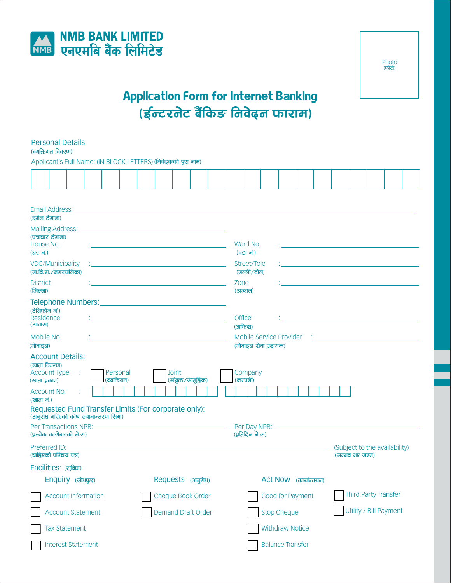



# **Application Form for Internet Banking** .<br>(ईन्टरनेट बैंकिङ निवेढ्न फाराम)

|                                                                                                                                                                                                                                                                        | <b>Personal Details:</b><br>(व्यक्तिगत विवरण)                                                                                  |                     |  |  |                                                                               |  |                              |                                                                                                                 |                            |                         |  |                       |                     |  |  |  |                      |                        |                                                  |  |  |  |
|------------------------------------------------------------------------------------------------------------------------------------------------------------------------------------------------------------------------------------------------------------------------|--------------------------------------------------------------------------------------------------------------------------------|---------------------|--|--|-------------------------------------------------------------------------------|--|------------------------------|-----------------------------------------------------------------------------------------------------------------|----------------------------|-------------------------|--|-----------------------|---------------------|--|--|--|----------------------|------------------------|--------------------------------------------------|--|--|--|
|                                                                                                                                                                                                                                                                        | Applicant's Full Name: (IN BLOCK LETTERS) (निवेदकको पुरा नाम)                                                                  |                     |  |  |                                                                               |  |                              |                                                                                                                 |                            |                         |  |                       |                     |  |  |  |                      |                        |                                                  |  |  |  |
|                                                                                                                                                                                                                                                                        |                                                                                                                                |                     |  |  |                                                                               |  |                              |                                                                                                                 |                            |                         |  |                       |                     |  |  |  |                      |                        |                                                  |  |  |  |
|                                                                                                                                                                                                                                                                        | Email Address: North American Communication of the Communication of the Communication of the Communication of<br>(इमेल ठेगाना) |                     |  |  |                                                                               |  |                              |                                                                                                                 |                            |                         |  |                       |                     |  |  |  |                      |                        |                                                  |  |  |  |
|                                                                                                                                                                                                                                                                        |                                                                                                                                |                     |  |  |                                                                               |  |                              |                                                                                                                 |                            |                         |  |                       |                     |  |  |  |                      |                        |                                                  |  |  |  |
| (पत्राचार ठेगाना)<br>House No.<br>(घर नं.)                                                                                                                                                                                                                             |                                                                                                                                |                     |  |  |                                                                               |  | Ward No.<br><u>(वडा नं.)</u> |                                                                                                                 |                            |                         |  |                       |                     |  |  |  |                      |                        |                                                  |  |  |  |
| <b>VDC/Municipality</b><br>(गा.वि.स./नगरपालिका)                                                                                                                                                                                                                        |                                                                                                                                |                     |  |  |                                                                               |  |                              | Street/Tole<br>(गल्ली/टोल)                                                                                      |                            |                         |  |                       |                     |  |  |  |                      |                        |                                                  |  |  |  |
| <b>District</b><br>(जिल्ला)                                                                                                                                                                                                                                            |                                                                                                                                |                     |  |  | Zone<br><u> 1989 - Johann Stein, mars an de Brasilia (b. 1989)</u><br>(अञ्चल) |  |                              |                                                                                                                 |                            |                         |  |                       |                     |  |  |  |                      |                        |                                                  |  |  |  |
| Telephone Numbers: National Accounts and Accounts and Accounts and Accounts and Accounts and Accounts and Accounts and Accounts and Accounts and Accounts and Accounts and Accounts and Accounts and Accounts and Accounts and<br>(टेलिफोन नं.)<br>Residence<br>(आवास) |                                                                                                                                |                     |  |  |                                                                               |  |                              |                                                                                                                 |                            | <b>Office</b><br>(अफिस) |  |                       |                     |  |  |  |                      |                        |                                                  |  |  |  |
| (मोबाइल)                                                                                                                                                                                                                                                               | Mobile No.                                                                                                                     |                     |  |  |                                                                               |  |                              | Mobile Service Provider<br>the control of the control of the control of the control of<br>(मोबाइल सेवा प्रदायक) |                            |                         |  |                       |                     |  |  |  |                      |                        |                                                  |  |  |  |
| (खाता प्रकार)                                                                                                                                                                                                                                                          | <b>Account Details:</b><br>(खाता विवरण)<br><b>Account Type</b>                                                                 | ÷                   |  |  | Personal<br>(त्यक्तिगत)                                                       |  |                              |                                                                                                                 | Joint<br>(संयुक्त/सामूहिक) |                         |  |                       | Company<br>(कम्पनी) |  |  |  |                      |                        |                                                  |  |  |  |
| (खाता नं.)                                                                                                                                                                                                                                                             | Account No.                                                                                                                    |                     |  |  |                                                                               |  |                              |                                                                                                                 |                            |                         |  |                       |                     |  |  |  |                      |                        |                                                  |  |  |  |
|                                                                                                                                                                                                                                                                        | Requested Fund Transfer Limits (For corporate only):                                                                           |                     |  |  |                                                                               |  |                              |                                                                                                                 |                            |                         |  |                       |                     |  |  |  |                      |                        |                                                  |  |  |  |
| (अनुरोध गरिएको कोष स्थानान्तरण सिमा)<br>(प्रत्येक कारोबारको ने.रू)                                                                                                                                                                                                     |                                                                                                                                |                     |  |  |                                                                               |  |                              | (प्रतिदिन ने.रू)                                                                                                |                            |                         |  |                       |                     |  |  |  |                      |                        |                                                  |  |  |  |
|                                                                                                                                                                                                                                                                        | Preferred ID:<br>(चाहिएको परिचय पत्र)                                                                                          |                     |  |  |                                                                               |  |                              |                                                                                                                 |                            |                         |  |                       |                     |  |  |  |                      |                        | (Subject to the availability)<br>(सम्भव भए सम्म) |  |  |  |
|                                                                                                                                                                                                                                                                        | Facilities: (सुविधा)                                                                                                           |                     |  |  |                                                                               |  |                              |                                                                                                                 |                            |                         |  |                       |                     |  |  |  |                      |                        |                                                  |  |  |  |
|                                                                                                                                                                                                                                                                        | Enquiry (सोधपुछ)<br>Requests (अनुरोध)                                                                                          |                     |  |  |                                                                               |  |                              |                                                                                                                 |                            |                         |  | Act Now (कार्यान्वयन) |                     |  |  |  |                      |                        |                                                  |  |  |  |
|                                                                                                                                                                                                                                                                        |                                                                                                                                | Account Information |  |  |                                                                               |  | Cheque Book Order            |                                                                                                                 |                            |                         |  | Good for Payment      |                     |  |  |  | Third Party Transfer |                        |                                                  |  |  |  |
|                                                                                                                                                                                                                                                                        | <b>Account Statement</b>                                                                                                       |                     |  |  |                                                                               |  | <b>Demand Draft Order</b>    |                                                                                                                 |                            |                         |  | <b>Stop Cheque</b>    |                     |  |  |  |                      | Utility / Bill Payment |                                                  |  |  |  |
| <b>Tax Statement</b>                                                                                                                                                                                                                                                   |                                                                                                                                |                     |  |  |                                                                               |  |                              |                                                                                                                 |                            | <b>Withdraw Notice</b>  |  |                       |                     |  |  |  |                      |                        |                                                  |  |  |  |
| <b>Interest Statement</b>                                                                                                                                                                                                                                              |                                                                                                                                |                     |  |  |                                                                               |  |                              | <b>Balance Transfer</b>                                                                                         |                            |                         |  |                       |                     |  |  |  |                      |                        |                                                  |  |  |  |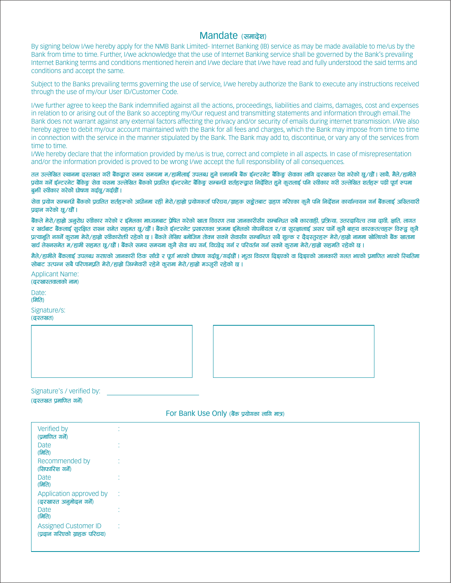# Mandate (समादेश)

By signing below I/we hereby apply for the NMB Bank Limited- Internet Banking (IB) service as may be made available to me/us by the Bank from time to time. Further, I/we acknowledge that the use of Internet Banking service shall be governed by the Bank's prevailing Internet Banking terms and conditions mentioned herein and I/we declare that I/we have read and fully understood the said terms and conditions and accept the same.

Subject to the Banks prevailing terms governing the use of service. I/we hereby authorize the Bank to execute any instructions received through the use of my/our User ID/Customer Code.

I/we further agree to keep the Bank indemnified against all the actions, proceedings, liabilities and claims, damages, cost and expenses in relation to or arising out of the Bank so accepting my/Our request and transmitting statements and information through email. The Bank does not warrant against any external factors affecting the privacy and/or security of emails during internet transmission. I/We also hereby agree to debit my/our account maintained with the Bank for all fees and charges, which the Bank may impose from time to time in connection with the service in the manner stipulated by the Bank. The Bank may add to, discontinue, or vary any of the services from time to time.

I/We hereby declare that the information provided by me/us is true, correct and complete in all aspects. In case of misrepresentation and/or the information provided is proved to be wrong I/we accept the full responsibility of all consequences.

तल उल्लेखित स्थानमा दस्तखत गरी बैंकद्वारा समय समयमा म/हामीलाई उपलब्ध हुने एनएमबि बैंक ईन्टरनेट बैंकिङ्ग सेवाका लागि दरखास्त पेश गरेको छ/छौं। साथै, मैले/हामीले प्रयोग गर्ने ईन्टरनेट बैकिङ सेवा यसमा उल्लेखित बैंकको प्रचलित ईन्टरनेट बैकिङ सम्बन्धी शर्तहरूद्वारा निर्देशित हने करालाई पनि स्वीकार गरी उल्लेखित शर्तहरू पढी पूर्ण रूपमा बुकी स्वीकार गरेको घोषणा गर्दछ/गर्दछौं।

सेवा प्रयोग सम्बन्धी बैंकको प्रचलित शर्तहरूको अधीनमा रही मेरो/हाम्रो परोगकर्ता परिचय/ग्राहक सङ्गेताट ग्रहण गरिएका कुनै पनि निर्देशन कार्यान्वयन गर्न बैंकलाई अख्तियारी प्रढान गरेको छ/छौं।

बैंकले मेरो/हाम्रो अनुरोध स्वीकार गरेको र इमिलका माध्यमबाट प्रेषित गरेको खाता विवरण तथा जानकारीसँग सम्बन्धित सबै कारवाही, प्रक्रिया, उत्तरदायित्व तथा दावी, क्षति, लागत र खर्चबाट बैंकलाई सुरक्षित राख्न समेत सहमत छ/छौं | बैंकले ईन्टरनेट प्रसारणका ऋममा ईमेलको गोपनीयता र/वा सुरक्षालाई असर पार्ने कुनै बाह्य कारकतत्वहरू विरूद्ध कुनै पत्याभति नगर्ने करामा मेरो/हाम्रो स्वीकारोक्ती रहेको छ । बैंकले लेखिए बमोजिम तोक्न सक्ने सेकार्यकर सबै शल्क र ढैढस्तरहरू मेरो/हाम्रो नाममा खोलिएको बैंक खातामा खर्च लेख्नसमेत म/हामी सहमत छ/छौं । बैंकले समय समयमा कनै सेवा थप गर्न, विच्छेढ गर्न र परिवर्तन गर्न सक्ने करामा मेरो/हाम्रो सहमति रहेको छ ।

मैले/हामीले बैंकलाई उपलब्ध गराएको जानकारी ठिक साँचो र पूर्ण भएको घोषणा गर्दछ/गर्दछौं । भूठा विवरण दिइएको वा दिइएको जानकारी गलत भएको प्रमाणित भएको स्थितिमा सोबाट उत्पन्न सबै परिणामप्रति मेरो/हाम्रो जिम्मेवारी रहेने करामा मेरो/हाम्रो मञ्जूरी रहेको छ ।

**Applicant Name:** (ढरखास्तवालाको नाम) Date: (मिति)

Signature/s: (ढस्तखत)



Signature's / verified by:

(ढस्तखत प्रमाणित गर्ने)

# For Bank Use Only (बैंक प्रयोगका लागि मात्र)

| Verified by<br>(प्रमाणित गर्ने)                             |  |
|-------------------------------------------------------------|--|
| Date<br>(मिति)                                              |  |
| Recommended by<br>(सिफारिश गर्ने)                           |  |
| Date<br>(मिति)                                              |  |
| Application approved by<br>(ढ्रखास्त अनुमोदन गर्ने)         |  |
| <b>Date</b><br>(मिति)                                       |  |
| <b>Assigned Customer ID</b><br>(प्रढान गरिएको ग्राहक परिचय) |  |
|                                                             |  |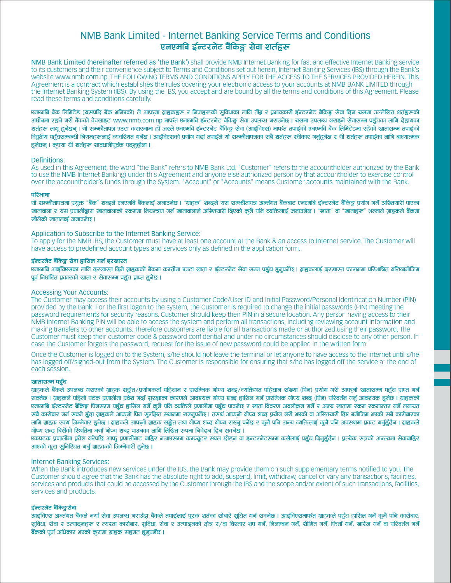# NMB Bank Limited - Internet Banking Service Terms and Conditions एनएमबि ईन्टरनेट बैंकिङ्ग सेवा शर्तहरू

NMB Bank Limited (hereinafter referred as 'the Bank') shall provide NMB Internet Banking for fast and effective Internet Banking service to its customers and their convenience subject to Terms and Conditions set out herein, Internet Banking Services (IBS) through the Bank's website www.nmb.com.np. THE FOLLOWING TERMS AND CONDITIONS APPLY FOR THE ACCESS TO THE SERVICES PROVIDED HEREIN. This Agreement is a contract which establishes the rules covering your electronic access to your accounts at NMB BANK LIMITED through the Internet Banking System (IBS). By using the IBS, you accept and are bound by all the terms and conditions of this Agreement. Please read these terms and conditions carefully.

एनएमबि बैंक लिमिटेड (यसपछि बैंक भनिएको) ले आफना ग्राहकहरू र निजहरूको सुविधाका लागि तीब्र र प्रभावकारी ईन्टरनेट बैंकिङ्ग सेवा दिन यसमा उल्लेखित शर्तहरूको अधीनमा रहने गरी बैंकको वेवसाइट www.nmb.com.np मार्फत एनएमबि ईन्टरनेट बैंकिङ सेवा उपलब्ध गराउनेछ । यसमा उपलब्ध गराइने सेवासम्म पहुँचका लागि ढेहायका शर्तहरू लाग हनेछन । यो सम्मौतापत्र एउटा करारनामा हो जस्ले एनएमबि ईन्टरनेट बैंकिङ सेवा (आईविएस) मार्फत तपाईको एनएमबि बैंक लिमिटेडमा रहेको खातासम्म तपाईको विद्यतीय पहुँचसम्बन्धी नियमहरूलाई व्यवस्थित गर्नेछ । आईविएसको प्रयोग गर्दा तपाईले यो सम्भौतापत्रका सबै शर्तहरू स्वीकार गर्नुहुनेछ र यी शर्तहरू तपाईका लागि बाध्यात्मक हनेछन् । कपया यी शर्तहरू सावधानीपर्वक पढनहोला ।

#### Definitions:

As used in this Agreement, the word "the Bank" refers to NMB Bank Ltd. "Customer" refers to the accountholder authorized by the Bank to use the NMB Internet Banking) under this Agreement and anyone else authorized person by that accountholder to exercise control over the accountholder's funds through the System. "Account" or "Accounts" means Customer accounts maintained with the Bank.

## परिभाषा

यो सम्भौतापत्रमा प्रयुक्त "बैंक" शब्दले एनएमबि बैंकलाई जनाउनेछ । "ग्राहक" शब्दले यस सम्भौतापत्र अन्तंगत बैंकबाट एनएमबि ईन्टरनेट बैंकिङ्ग प्रयोग गर्ने अख्तियारी पाएका खातावाला र यस प्रणालीद्धारा खातावालाको रकममा नियन्त्रण गर्न खातावालाले अख्तियारी दिएको कुनै पनि व्यक्तिलाई जनाउनेछ । "खाता" वा "खाताहरू" भन्नाले ग्राहकले बैंकमा खोलेको खातालाई जनाउनेछ ।

#### Application to Subscribe to the Internet Banking Service:

To apply for the NMB IBS, the Customer must have at least one account at the Bank & an access to Internet service. The Customer will have access to predefined account types and services only as defined in the application form.

#### ईन्टरनेट बैंकिङ सेवा हासिल गर्न ढरखास्त

एनएमबि आइविएसका लागि दरखास्त दिने ग्राहकको बैंकमा कम्तीमा एउटा खाता र ईन्टरनेट सेवा सम्म पहुँच हुनुपर्नेछ । ग्राहकलाई दरखास्त फाराममा परिभाषित गरिएबमोजिम पर्व निर्धारित पकारको खाता र सेवासम्म पहुँच पाप्त हनेछ ।

#### **Accessing Your Accounts:**

The Customer may access their accounts by using a Customer Code/User ID and Initial Password/Personal Identification Number (PIN) provided by the Bank. For the first logon to the system, the Customer is required to change the initial passwords (PIN) meeting the password requirements for security reasons. Customer should keep their PIN in a secure location. Any person having access to their NMB Internet Banking PIN will be able to access the system and perform all transactions, including reviewing account information and making transfers to other accounts. Therefore customers are liable for all transactions made or authorized using their password. The Customer must keep their customer code & password confidential and under no circumstances should disclose to any other person. In case the Customer forgets the password, request for the issue of new password could be applied in the written form.

Once the Customer is logged on to the System, s/he should not leave the terminal or let anyone to have access to the internet until s/he has logged off/signed-out from the System. The Customer is responsible for ensuring that s/he has logged off the service at the end of each session.

## खातासम्म पहुँच

ग्राहकले बैंकले उपलब्ध गराएको ग्राहक सङ्रेत/प्रयोगकर्ता पहिचान र प्रारम्भिक गोप्य शब्द/त्यक्तिगत पहिचान संख्या (पिन) प्रयोग गरी आफनो खातासम्म पहुँच प्राप्त गर्न ्<br>सक्नेछ । ग्राहकले पहिलो पटक प्रणालीमा प्रवेश गर्दा सरक्षाका कारणले आवश्यक गोप्य शब्द हासिल गर्न प्रारम्भिक गोप्य शब्द (पिन) परिवर्तन गर्नु आवश्यक हुनेछ । ग्राहकको एनएमबि ईन्टरनेट बैंकिङ्ग पिनसम्म पहुँच हासिल गर्ने कुनै पनि व्यक्तिले प्रणालीमा पहुँच पाउनेछ र खाता विवरण अवलोकन गर्ने र अन्य खातामा रकम रकमान्तर गर्ने लगायत सबै कारोबार गर्न सक्ने हुँढा ग्राहकले आफनो पिन सुरक्षित स्थानमा राख्नपर्नेछ । तसर्थ आफनो गोप्य शब्द प्रयोग गरी भएको वा अख्तियारी ढिए बमोजिम भएको सबै कारोबारका लागि ग्राहक स्वयं जिम्मेवार हुनेछ । ग्राहकले आफनो ग्राहक सङ्केत तथा गोप्य शब्द गोप्य राख्नु पर्नेष्ठ र कुनै पनि अन्य व्यक्तिलाई कुनै पनि अवस्थामा प्रकट गर्नुहुँदैन । ग्राहकले गोप्य शब्द बिर्सेको स्थितिमा नयाँ गोप्य शब्द पाउनका लागि लिखित रूपमा निवेदन दिन सक्नेछ ।

एकपटक प्रणालीमा प्रवेश गरेपछि आफ् प्रणालीबाट बाहिर नआएसम्म कम्प्यूटर स्थल छोडन वा इन्टरनेटसम्म कसैलाई पहुँच ढिनहुँढैन | प्रत्येक सत्रको अन्त्यमा सेवाबाहिर आएको कूरा सुनिश्चित गर्नु ग्राहकको जिम्मेवारी हुनेछ ।

#### **Internet Banking Services:**

When the Bank introduces new services under the IBS, the Bank may provide them on such supplementary terms notified to you. The Customer should agree that the Bank has the absolute right to add, suspend, limit, withdraw, cancel or vary any transactions, facilities, services and products that could be accessed by the Customer through the IBS and the scope and/or extent of such transactions, facilities, services and products.

#### ईन्टरनेट बैंकिङ्गसेवा

आईविएस अन्तीगत बैंकले नयाँ सेवा उपलब्ध गराउँढा बैंकले तपाईलाई पुरक शर्तका सोबारे सुचित गर्न सक्नेष्ठ । आईविएसमार्फत ग्राहकले पहुँच हासिल गर्ने कुनै पनि कारोबार, सुविधा, सेवा र उत्पादनहरू र त्यस्ता कारोबार, सुविधा, सेवा र उत्पादनको क्षेत्र र/वा विस्तार थप गर्ने, निलम्बन गर्ने, भीमेत गर्ने, फिर्ता गर्ने, खारेज गर्ने वा परिवर्तन गर्ने बैंकको पूर्ण अधिकार भएको कुरामा ग्राहक सहमत हुनुपर्नेछ ।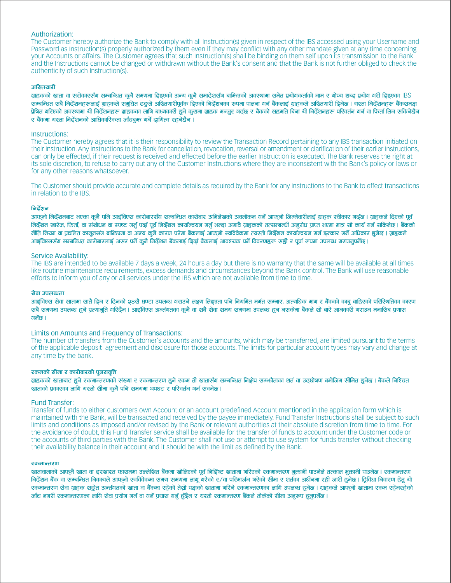#### Authorization:

The Customer hereby authorize the Bank to comply with all Instruction(s) given in respect of the IBS accessed using your Username and Password as Instruction(s) properly authorized by them even if they may conflict with any other mandate given at any time concerning your Accounts or affairs. The Customer agrees that such Instruction(s) shall be binding on them self upon its transmission to the Bank and the Instructions cannot be changed or withdrawn without the Bank's consent and that the Bank is not further obliged to check the authenticity of such Instruction(s).

#### अख्तियारी

ग्राहकको खाता वा सरोकारसँग सम्बन्धित कुनै समयमा दिइएको अन्य कुनै समादेशसँग बाभिएको अवस्थामा समेत प्रयोगकर्ताको नाम र गोप्य शब्द प्रयोग गरी दिइएका IBS सम्बन्धित सबै निर्देशनहरूलाई ग्राहकले समुचित ढङ्गले अख्तियारीपूर्वक दिएको निर्देशनका रूपमा पालना गर्न बैंकलाई ग्राहकले अख्तियारी दिनेछ । यस्ता निर्देशनहरू बैंकसमक्ष पेषित गरिएको अवस्थामा यी निर्देशनहरू ग्राहकका लागि बाध्यकारी हुने करामा ग्राहक मन्जर गर्दछ र बैंकको सहमति बिना यी निर्देशनहरू परिवर्तन गर्न वा फिर्ता लिन सकिनेछैन र बैंकमा यस्ता निर्देशनको आधिकारिकता जाँचबक्त गर्ने ढायित्व रहनेछैन ।

#### Instructions:

The Customer hereby agrees that it is their responsibility to review the Transaction Record pertaining to any IBS transaction initiated on their Instruction. Any Instructions to the Bank for cancellation, revocation, reversal or amendment or clarification of their earlier Instructions, can only be effected, if their request is received and effected before the earlier Instruction is executed. The Bank reserves the right at its sole discretion, to refuse to carry out any of the Customer Instructions where they are inconsistent with the Bank's policy or laws or for any other reasons whatsoever.

The Customer should provide accurate and complete details as required by the Bank for any Instructions to the Bank to effect transactions in relation to the IBS.

#### निर्देशन

आफनो निर्देशनबाट भएका कुनै पनि आईविएस कारोबारसँग सम्बन्धित कारोबार अभिलेखको अवलोकन गर्ने आफनो जिम्मेवारीलाई ग्राहक स्वीकार गर्दछ । ग्राहकले दिएको पूर्व निर्देशन खारेज, फिर्ता, वा संशोधन वा स्पष्ट गर्नु पर्दा पूर्व निर्देशन कार्यान्वयन गर्नु भन्दा अगोवै ग्राहकको तत्सम्बन्धी अनुरोध प्राप्त भएमा मात्र सो कार्य गर्न सकिनेछ । बैंकको नीति नियम वा प्रचलित कानुनसंग बामिएमा वा अन्य कुनै कारण परेमा बैंकलाई आफनो स्वविवेकमा त्यस्तो निर्देशन कार्यान्वयन गर्न इन्कार गर्ने अधिकार हनेछ । ग्राहकले आईविएससँग सम्बन्धित कारोबारलाई असर पर्ने कनै निर्देशन बैंकलाई ढिढाँ बैंकलाई आवश्यक पर्ने विवरणहरू सही र पर्ण रूपमा उपलब्ध गराउनपर्नेछ ।

#### Service Availability:

The IBS are intended to be available 7 days a week, 24 hours a day but there is no warranty that the same will be available at all times like routine maintenance requirements, excess demands and circumstances beyond the Bank control. The Bank will use reasonable efforts to inform you of any or all services under the IBS which are not available from time to time.

#### सेवा उपलब्धता

आईविएस सेवा सातामा सातै ढिन र ढिनको ३४सै घण्टा उपलब्ध गराउने लक्ष्य लिइएता पनि नियमित मर्मत सम्भार. अत्यधिक माग र बैंकको काब बाहिरको परिस्थितिका कारण सबै समयमा उपलब्ध हने पत्याभति गरिढैन । आईविएस अन्तगतका कनै वा सबै सेवा समय समयमा उपलब्ध हन नसकेमा बैंकले सो बारे जानकारी गराउन मनासिब प्रयास गर्नेछ ।

#### Limits on Amounts and Frequency of Transactions:

The number of transfers from the Customer's accounts and the amounts, which may be transferred, are limited pursuant to the terms of the applicable deposit agreement and disclosure for those accounts. The limits for particular account types may vary and change at any time by the bank.

#### रकमको सीमा र कारोबारको पनरावति

ग्राहकको खाताबाट हुने रकमान्तरणको संख्या र रकमान्तरण हुने रकम ती खातासँग सम्बन्धित निक्षेप सम्भौताका शर्त वा उदघोषण बमोजिम सीमित हुनेछ । बैंकले निश्चित खाताको प्रकारका लागि यस्तो सीमा कुनै पनि समयमा थपघट र परिवर्तन गर्न सक्नेछ ।

#### Fund Transfer:

Transfer of funds to either customers own Account or an account predefined Account mentioned in the application form which is maintained with the Bank, will be transacted and received by the payee immediately. Fund Transfer Instructions shall be subject to such limits and conditions as imposed and/or revised by the Bank or relevant authorities at their absolute discretion from time to time. For the avoidance of doubt, this Fund Transfer service shall be available for the transfer of funds to account under the Customer code or the accounts of third parties with the Bank. The Customer shall not use or attempt to use system for funds transfer without checking their availability balance in their account and it should be with the limit as defined by the Bank.

#### रकमान्तरण

खातावालाको आफनै खाता वा ढरखास्त फाराममा उल्लेखित बैंकमा खोलिएको पूर्व निर्ढिष्ट खातामा गरिएको रकमान्तरण भूकानी पाउनेले तत्काल भूकानी पाउनेख । रकमान्तरण निर्देशन बैंक वा सम्बन्धित निकायले आफनो स्वविवेकमा समय समयमा लागू गरेको र∕वा परिमार्जन गरेको सीमा र शर्तका अधीनमा रही जारी हुनेछ । द्विविधा निवारण हेतु यो रकमान्तरण सेवा ग्राहक सङ्रेत अन्तंगतको खाता वा बैंकमा रहेको तेस्रो पक्षको खातामा गरिने रकमान्तरणका लागि उपलब्ध हुनेछ । ग्राहकले आफनो खातामा रकम रहेनरहेको जाँच नगरी रकमान्तरणका लागि सेवा पयोग गर्न वा गर्ने पयास गर्न हँढैन र यस्तो रकमान्तरण बैंकले तोकेको सीमा अनरूप हनपर्नेछ ।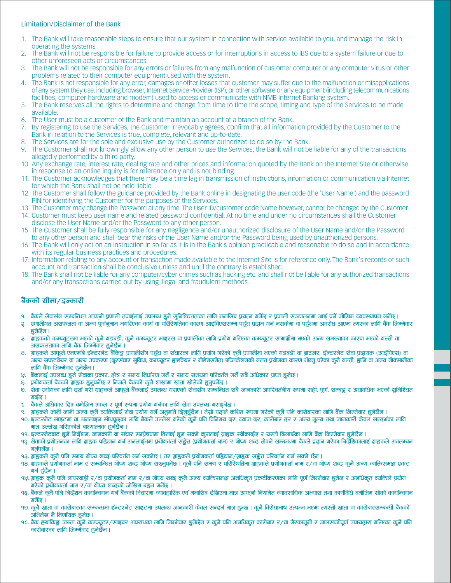# Limitation/Disclaimer of the Bank

- The Bank will take reasonable steps to ensure that our system in connection with service available to you, and manage the risk in  $\mathbf{1}$ operating the systems.
- The Bank will not be responsible for failure to provide access or for interruptions in access to IBS due to a system failure or due to  $\overline{2}$ . other unforeseen acts or circumstances.
- The Bank will not be responsible for any errors or failures from any malfunction of customer computer or any computer virus or other  $\mathbf{R}$ problems related to their computer equipment used with the system.
- The Bank is not responsible for any error, damages or other losses that customer may suffer due to the malfunction or misapplications 4. of any system they use, including browser, Internet Service Provider (ISP), or other software or any equipment (including telecommunications facilities, computer hardware and modem) used to access or communicate with NMB Internet Banking system.
- The Bank reserves all the rights to determine and change from time to time the scope, timing and type of the Services to be made 5 available.
- The User must be a customer of the Bank and maintain an account at a branch of the Bank. 6.
- By registering to use the Services, the Customer irrevocably agrees, confirm that all information provided by the Customer to the  $7<sub>1</sub>$ Bank in relation to the Services is true, complete, relevant and up-to-date.
- 8. The Services are for the sole and exclusive use by the Customer authorized to do so by the Bank.
- 9 The Customer shall not knowingly allow any other person to use the Services; the Bank will not be liable for any of the transactions allegedly performed by a third party.
- 10. Any exchange rate, interest rate, dealing rate and other prices and information quoted by the Bank on the Internet Site or otherwise in response to an online inquiry is for reference only and is not binding.
- The Customer acknowledges that there may be a time lag in transmission of instructions, information or communication via Internet for which the Bank shall not be held liable.
- 12. The Customer shall follow the guidance provided by the Bank online in designating the user code (the 'User Name') and the password PIN for identifying the Customer for the purposes of the Services.
- 13. The Customer may change the Password at any time. The User ID/customer code Name however, cannot be changed by the Customer.
- 14. Customer must keep user name and related password confidential. At no time and under no circumstances shall the Customer disclose the User Name and/or the Password to any other person.
- 15. The Customer shall be fully responsible for any negligence and/or unauthorized disclosure of the User Name and/or the Password to any other person and shall bear the risks of the User Name and/or the Password being used by unauthorized persons.
- 16. The Bank will only act on an instruction in so far as it is in the Bank's opinion practicable and reasonable to do so and in accordance with its regular business practices and procedures.
- 17. Information relating to any account or transaction made available to the Internet Site is for reference only. The Bank's records of such account and transaction shall be conclusive unless and until the contrary is established.
- 18. The Bank shall not be liable for any computer/cyber crimes such as hacking etc. and shall not be liable for any authorized transactions and/or any transactions carried out by using illegal and fraudulent methods.

# बैंकको सीमा/इल्कारी

- बैंकले सेवासँग सम्बन्धित आफलो प्रणाली तपाईलाई उपलब्ध हुने सुनिश्चितताका लागि मनासिब प्रयत्न गर्नेख र प्रणाली सञ्चालनमा आई पर्ने जोखिम व्यवस्थापन गर्नेछ ।  $\overline{q}$
- प्रणालीगत असफलता वा अन्य पूर्वानुमान नगरिएका कार्य वा परिस्थितिका कारण आईविएससम्म पहुँच प्रदान उन नसकमा वा पहुँचमा अवरोध आएमा त्यस्का लागि बैंक जिम्मेवार Q. हनेछैन ।
- ग्राहकको कम्प्युटरमा भएको कुनै गडबडी, कुनै कम्प्युटर भाइरस वा प्रणालीका लागि प्रयोग गरिएका कम्प्युटर सामाग्रीमा भएको अन्य समस्याका कारण भएको गल्ती वा 3. असफलताका लांगि बैंक जिम्मेवार हनेछैन ।
- ग्राहकले आफुले एनएमबि ईन्टरनेट बैंकिङ्ग प्रणालीसँग पहुँच वा संचारका लागि प्रयोग गरेको कूनै प्रणालीमा भएको गडबडी वा ब्राउजर, ईन्टरनेट सेवा प्रदायक (आईपिएस) वा  $\mathbf{R}$ अन्य सफटवेयर वा अन्य उपकरण (दूरसंचार सुविधा, कम्प्यूटर हाडवेयर र मोडेमसमेत) एप्लिकेशनको गलत प्रयोगका कारण भोग्नु परेका कुनै गल्ती, हानि वा अन्य नोक्सानीका लागि बैंक जिम्मेवार हनेछैन ।
- y. बैंकलाई उपलब्ध हुने सेवाका प्रकार, क्षेत्र र समय निर्धारण गर्ने र समय समयमा परिवर्तन गर्ने सबै अधिकार प्राप्त हुनेछ ।
- प्रयोगकर्ता बैंकको ग्राहक हुनुपर्नेछ र निजले बैंकको कुनै शाखामा खाता खोलेको हुनुपर्नेछ । ξ.
- सेवा प्रयोगका लागि दर्ता गरी ग्राहकले आफूले बैंकलाई उपलब्ध गराएको सेवासँग सम्बन्धित सबै जानकारी अपरिवर्तनीय रूपमा सही, पूर्ण, सम्बद्ध र अद्यावधिक भएको सुनिश्चित  $\overline{0}$ गर्दछ।
- बैंकले अधिकार दिए बमोजिम एकल र पूर्ण रूपमा प्रयोग गर्नका लागि सेवा उपलब्ध गराइनेछ । τ.
- ग्राहकले जानी जानी अन्य कुनै व्यक्तिलाई सेवा प्रयोग गर्ने अनुमति दिनुहुँदैन । तेस्रो पक्षले कथित रूपमा गरेको कुनै पनि कारोबारका लागि बैंक जिम्मेवार हुनेछैन ।
- इन्टरनेट साइटमा वा अनलाइन सोधपुछका लागि बैंकले उल्लेख गरेको कुनै पनि विनिमय दर, व्याज दर, कारोबार दर र अन्य मुल्य तथा जानकारी केवल सन्दर्भका लागि  $90<sub>1</sub>$ मात्र उल्लेख गरिएकोले बाध्यात्मक हुनेछैन ।
- इन्टरनेटबाट हुने निर्देशन, जानकारी वा संचार सम्प्रेषणमा ढिलाई हुन सक्ने कुरालाई ग्राहक स्वीकार्दछ र यस्तो ढिलाईका लागि बैंक जिम्मेवार हुनेछैन । 99.
- ຊລ सेवाको प्रयोजनका लागि ग्राहक पहिचान गर्न अनलाईनमा प्रयोगकर्ता सङ्केत (प्रयोगकर्ता नाम) र गोप्य शब्द तोक्ने सम्बन्धमा बैंकले प्रदान गरेका निर्देशिकालाई ग्राहकले अवलम्बन गर्नपर्नेछ ।
- १३. ग्राहकले कुनै पनि समय गोप्य शब्द परिवर्तन गर्न सक्नेछ । तर ग्राहकले प्रयोगकर्ता पहिचान/ग्राहक सङ्केत परिवर्तन गर्न सक्ने छैन ।
- 98. गाहकले पँयोगकर्ता नाम र सम्बन्धित गोप्य शब्द गोप्य राख्नपर्नेछ । कनै पनि समय र परिस्थितिमा गाहकले पयोगकर्ता नाम र/वा गोप्य शब्द कनै अन्य व्यक्तिसमक्ष पकट गर्न हूँदैन ।
- १५. ग्राहक कुनै पनि लापरवाही र/वा प्रयोगकर्ता नाम र/वा गोप्य शब्द कुनै अन्य व्यक्तिसमक्ष अनधिकत प्रकटीकरणका लागि पूर्ण जिम्मेवार हुनेछ र अनधिकृत व्यक्तिले प्रयोग गरेको प्रयोगकर्ता नाम र/वा गोप्य शब्दको जोखिम बहुन गर्नेछ ।
- बैंकले कुनै पनि निर्देशन कार्यान्वयन गर्न बैंकको विचारमा व्यावहारिक एवं मनासिब देखिएमा मात्र आफनो नियमित व्यावसायिक अभ्यास तथा कार्यविधि बमोजिम सोको कार्यान्वयन 96.  $\overline{ \text{ of } }$ ह $\overline{ \text{ of } }$
- १७. कुनै खाता वा कारोबारका सम्बन्धमा ईन्टरनेट साइटमा उपलब्ध जानकारी केवल सन्दर्भ मात्र हुन्छ । कुनै विरोधाभाष उत्पन्न भएमा त्यस्तो खाता वा कारोबारसम्बन्धी बैंकको अभिलेख नै निर्णायक हुनेछ ।
- 9८. बैंक ह्याकिङ्ग जस्ता कुनै कम्प्यूटर∕साइबर अपराधका लागि जिम्मेवार हुनेवैन र कुनै पनि अनधिकृत कारोबार र∕वा गैरकानूनी र जालसाजीपूर्ण उपायढूारा गरिएका कुनै पनि कारोबारका लागि जिम्मेवार हुनेखैन ।